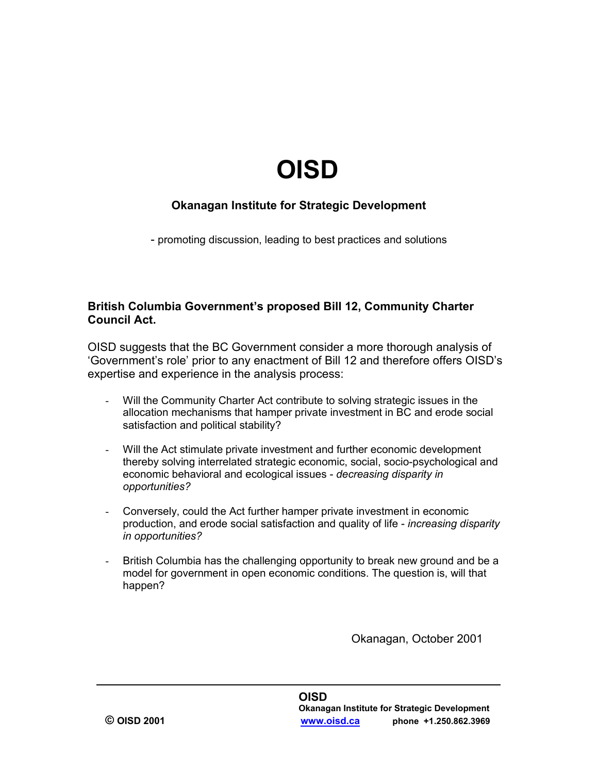# **OISD**

#### **Okanagan Institute for Strategic Development**

- promoting discussion, leading to best practices and solutions

#### **British Columbia Government's proposed Bill 12, Community Charter Council Act.**

OISD suggests that the BC Government consider a more thorough analysis of 'Government's role' prior to any enactment of Bill 12 and therefore offers OISD's expertise and experience in the analysis process:

- Will the Community Charter Act contribute to solving strategic issues in the allocation mechanisms that hamper private investment in BC and erode social satisfaction and political stability?
- Will the Act stimulate private investment and further economic development thereby solving interrelated strategic economic, social, socio-psychological and economic behavioral and ecological issues - *decreasing disparity in opportunities?*
- Conversely, could the Act further hamper private investment in economic production, and erode social satisfaction and quality of life - *increasing disparity in opportunities?*
- British Columbia has the challenging opportunity to break new ground and be a model for government in open economic conditions. The question is, will that happen?

Okanagan, October 2001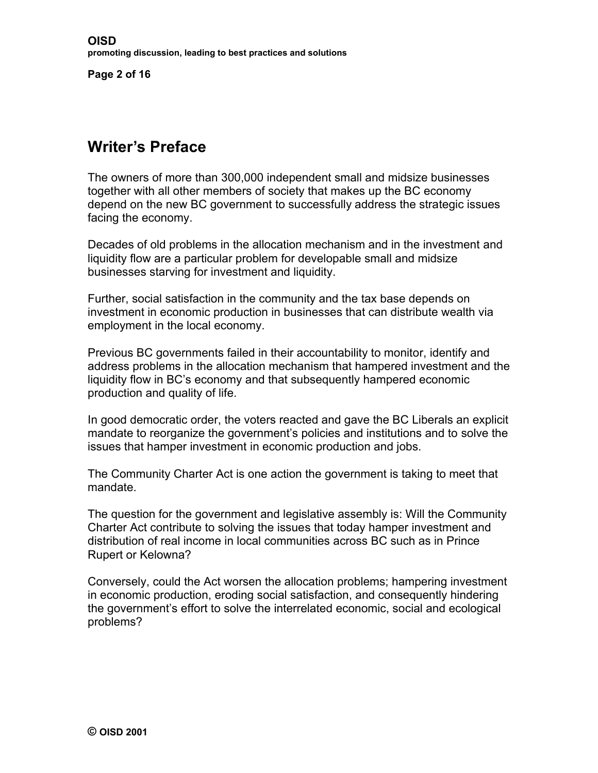**Page 2 of 16**

# **Writer's Preface**

The owners of more than 300,000 independent small and midsize businesses together with all other members of society that makes up the BC economy depend on the new BC government to successfully address the strategic issues facing the economy.

Decades of old problems in the allocation mechanism and in the investment and liquidity flow are a particular problem for developable small and midsize businesses starving for investment and liquidity.

Further, social satisfaction in the community and the tax base depends on investment in economic production in businesses that can distribute wealth via employment in the local economy.

Previous BC governments failed in their accountability to monitor, identify and address problems in the allocation mechanism that hampered investment and the liquidity flow in BC's economy and that subsequently hampered economic production and quality of life.

In good democratic order, the voters reacted and gave the BC Liberals an explicit mandate to reorganize the government's policies and institutions and to solve the issues that hamper investment in economic production and jobs.

The Community Charter Act is one action the government is taking to meet that mandate.

The question for the government and legislative assembly is: Will the Community Charter Act contribute to solving the issues that today hamper investment and distribution of real income in local communities across BC such as in Prince Rupert or Kelowna?

Conversely, could the Act worsen the allocation problems; hampering investment in economic production, eroding social satisfaction, and consequently hindering the government's effort to solve the interrelated economic, social and ecological problems?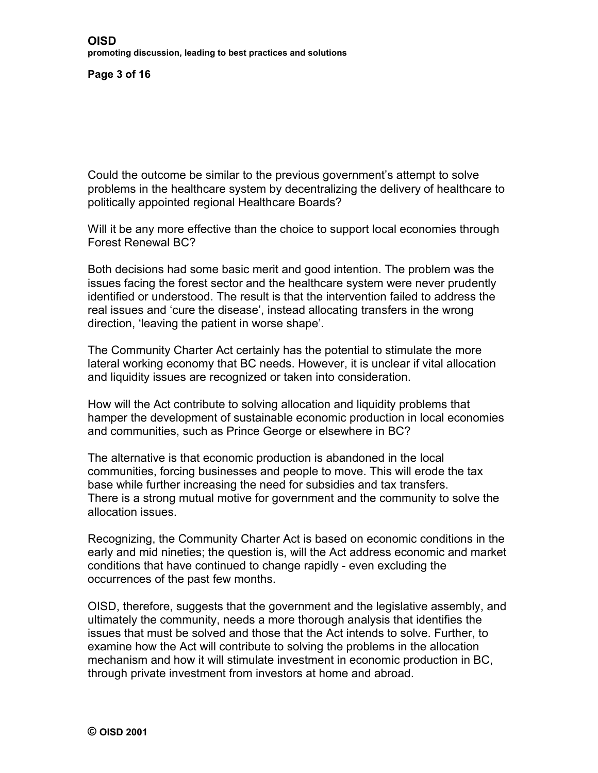**Page 3 of 16**

Could the outcome be similar to the previous government's attempt to solve problems in the healthcare system by decentralizing the delivery of healthcare to politically appointed regional Healthcare Boards?

Will it be any more effective than the choice to support local economies through Forest Renewal BC?

Both decisions had some basic merit and good intention. The problem was the issues facing the forest sector and the healthcare system were never prudently identified or understood. The result is that the intervention failed to address the real issues and 'cure the disease', instead allocating transfers in the wrong direction, 'leaving the patient in worse shape'.

The Community Charter Act certainly has the potential to stimulate the more lateral working economy that BC needs. However, it is unclear if vital allocation and liquidity issues are recognized or taken into consideration.

How will the Act contribute to solving allocation and liquidity problems that hamper the development of sustainable economic production in local economies and communities, such as Prince George or elsewhere in BC?

The alternative is that economic production is abandoned in the local communities, forcing businesses and people to move. This will erode the tax base while further increasing the need for subsidies and tax transfers. There is a strong mutual motive for government and the community to solve the allocation issues.

Recognizing, the Community Charter Act is based on economic conditions in the early and mid nineties; the question is, will the Act address economic and market conditions that have continued to change rapidly - even excluding the occurrences of the past few months.

OISD, therefore, suggests that the government and the legislative assembly, and ultimately the community, needs a more thorough analysis that identifies the issues that must be solved and those that the Act intends to solve. Further, to examine how the Act will contribute to solving the problems in the allocation mechanism and how it will stimulate investment in economic production in BC, through private investment from investors at home and abroad.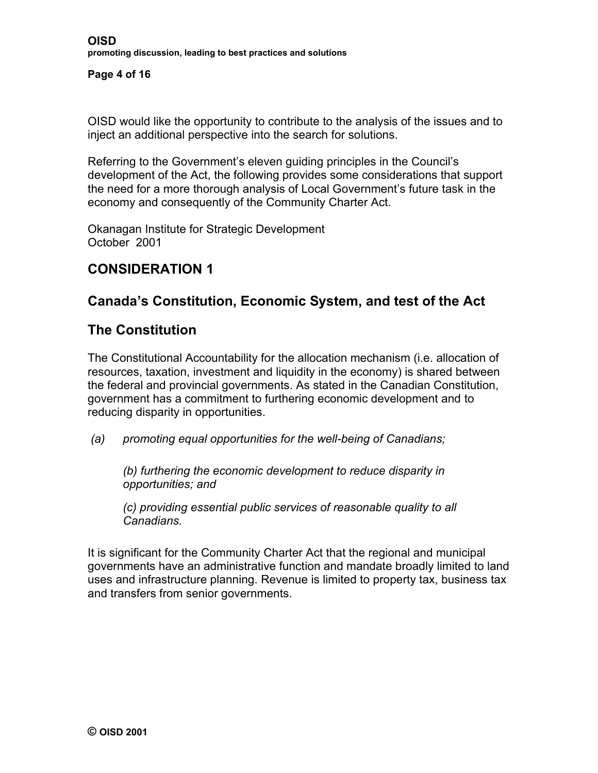#### **Page 4 of 16**

OISD would like the opportunity to contribute to the analysis of the issues and to inject an additional perspective into the search for solutions.

Referring to the Government's eleven guiding principles in the Council's development of the Act, the following provides some considerations that support the need for a more thorough analysis of Local Government's future task in the economy and consequently of the Community Charter Act.

Okanagan Institute for Strategic Development October 2001

# **CONSIDERATION 1**

## **Canada's Constitution, Economic System, and test of the Act**

#### **The Constitution**

The Constitutional Accountability for the allocation mechanism (i.e. allocation of resources, taxation, investment and liquidity in the economy) is shared between the federal and provincial governments. As stated in the Canadian Constitution, government has a commitment to furthering economic development and to reducing disparity in opportunities.

*(a) promoting equal opportunities for the well-being of Canadians;* 

*(b) furthering the economic development to reduce disparity in opportunities; and* 

*(c) providing essential public services of reasonable quality to all Canadians.* 

It is significant for the Community Charter Act that the regional and municipal governments have an administrative function and mandate broadly limited to land uses and infrastructure planning. Revenue is limited to property tax, business tax and transfers from senior governments.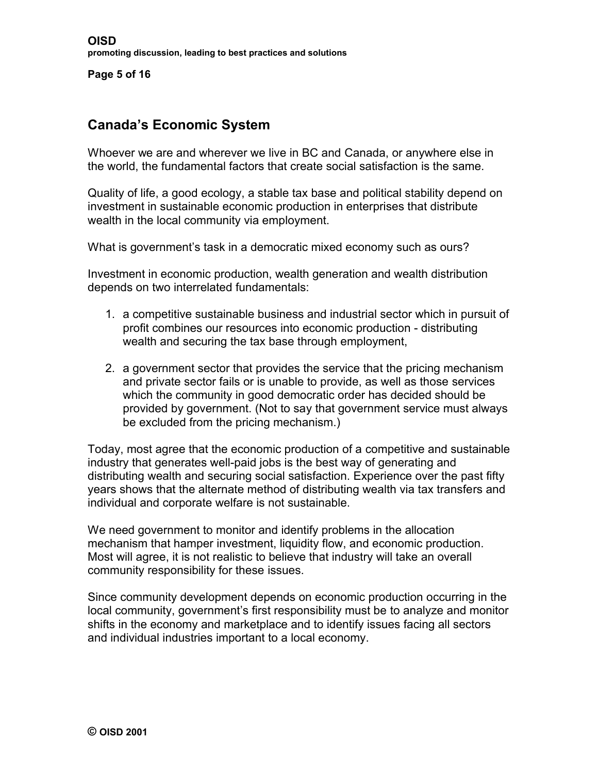**Page 5 of 16**

# **Canada's Economic System**

Whoever we are and wherever we live in BC and Canada, or anywhere else in the world, the fundamental factors that create social satisfaction is the same.

Quality of life, a good ecology, a stable tax base and political stability depend on investment in sustainable economic production in enterprises that distribute wealth in the local community via employment.

What is government's task in a democratic mixed economy such as ours?

Investment in economic production, wealth generation and wealth distribution depends on two interrelated fundamentals:

- 1. a competitive sustainable business and industrial sector which in pursuit of profit combines our resources into economic production - distributing wealth and securing the tax base through employment,
- 2. a government sector that provides the service that the pricing mechanism and private sector fails or is unable to provide, as well as those services which the community in good democratic order has decided should be provided by government. (Not to say that government service must always be excluded from the pricing mechanism.)

Today, most agree that the economic production of a competitive and sustainable industry that generates well-paid jobs is the best way of generating and distributing wealth and securing social satisfaction. Experience over the past fifty years shows that the alternate method of distributing wealth via tax transfers and individual and corporate welfare is not sustainable.

We need government to monitor and identify problems in the allocation mechanism that hamper investment, liquidity flow, and economic production. Most will agree, it is not realistic to believe that industry will take an overall community responsibility for these issues.

Since community development depends on economic production occurring in the local community, government's first responsibility must be to analyze and monitor shifts in the economy and marketplace and to identify issues facing all sectors and individual industries important to a local economy.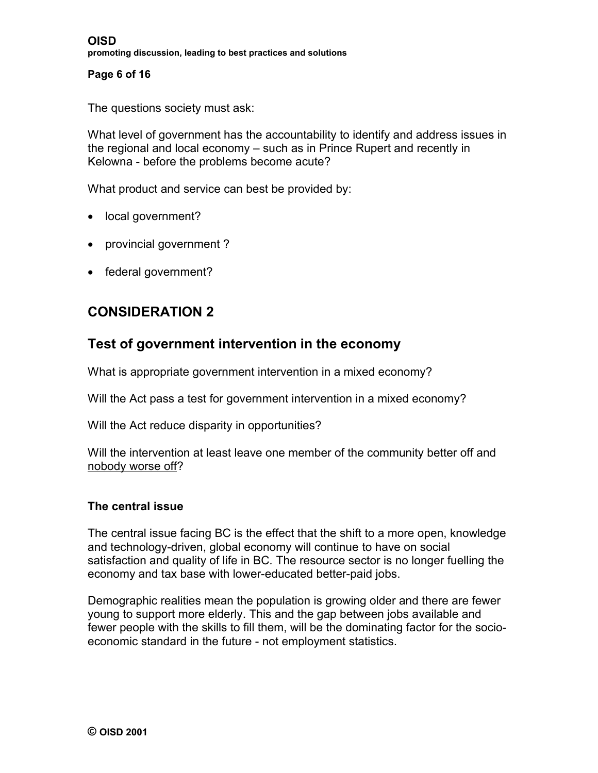#### **Page 6 of 16**

The questions society must ask:

What level of government has the accountability to identify and address issues in the regional and local economy – such as in Prince Rupert and recently in Kelowna - before the problems become acute?

What product and service can best be provided by:

- local government?
- provincial government?
- federal government?

# **CONSIDERATION 2**

#### **Test of government intervention in the economy**

What is appropriate government intervention in a mixed economy?

Will the Act pass a test for government intervention in a mixed economy?

Will the Act reduce disparity in opportunities?

Will the intervention at least leave one member of the community better off and nobody worse off?

#### **The central issue**

The central issue facing BC is the effect that the shift to a more open, knowledge and technology-driven, global economy will continue to have on social satisfaction and quality of life in BC*.* The resource sector is no longer fuelling the economy and tax base with lower-educated better-paid jobs.

Demographic realities mean the population is growing older and there are fewer young to support more elderly. This and the gap between jobs available and fewer people with the skills to fill them, will be the dominating factor for the socioeconomic standard in the future - not employment statistics.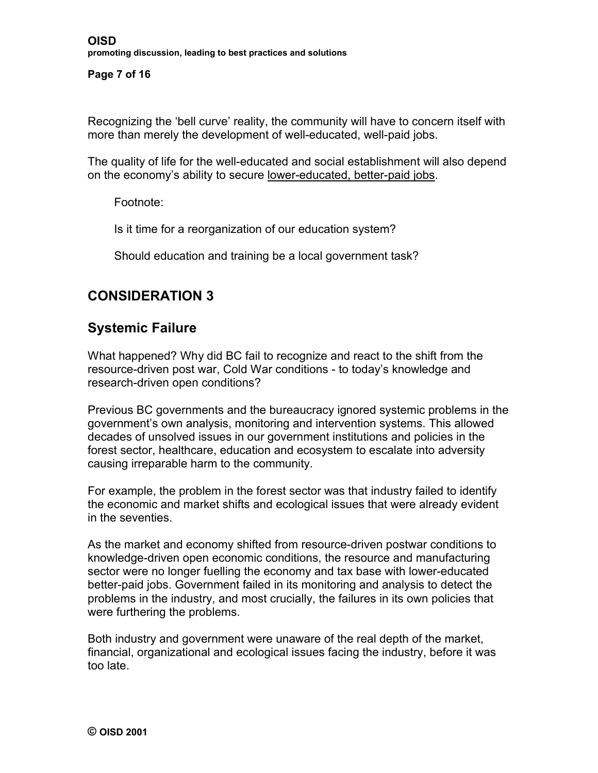**Page 7 of 16**

Recognizing the 'bell curve' reality, the community will have to concern itself with more than merely the development of well-educated, well-paid jobs.

The quality of life for the well-educated and social establishment will also depend on the economy's ability to secure lower-educated, better-paid jobs.

Footnote:

Is it time for a reorganization of our education system?

Should education and training be a local government task?

## **CONSIDERATION 3**

## **Systemic Failure**

What happened? Why did BC fail to recognize and react to the shift from the resource-driven post war, Cold War conditions - to today's knowledge and research-driven open conditions?

Previous BC governments and the bureaucracy ignored systemic problems in the government's own analysis, monitoring and intervention systems. This allowed decades of unsolved issues in our government institutions and policies in the forest sector, healthcare, education and ecosystem to escalate into adversity causing irreparable harm to the community.

For example, the problem in the forest sector was that industry failed to identify the economic and market shifts and ecological issues that were already evident in the seventies.

As the market and economy shifted from resource-driven postwar conditions to knowledge-driven open economic conditions, the resource and manufacturing sector were no longer fuelling the economy and tax base with lower-educated better-paid jobs. Government failed in its monitoring and analysis to detect the problems in the industry, and most crucially, the failures in its own policies that were furthering the problems.

Both industry and government were unaware of the real depth of the market, financial, organizational and ecological issues facing the industry, before it was too late.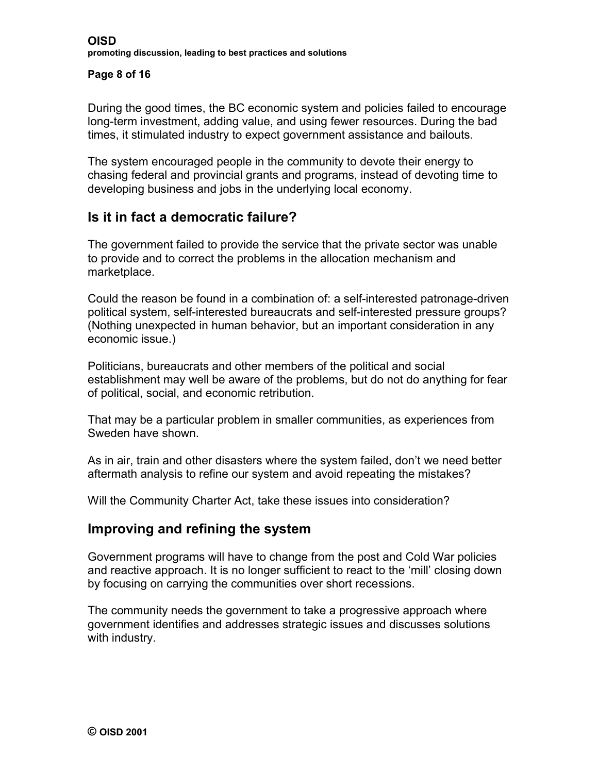#### **Page 8 of 16**

During the good times, the BC economic system and policies failed to encourage long-term investment, adding value, and using fewer resources. During the bad times, it stimulated industry to expect government assistance and bailouts.

The system encouraged people in the community to devote their energy to chasing federal and provincial grants and programs, instead of devoting time to developing business and jobs in the underlying local economy.

# **Is it in fact a democratic failure?**

The government failed to provide the service that the private sector was unable to provide and to correct the problems in the allocation mechanism and marketplace.

Could the reason be found in a combination of: a self-interested patronage-driven political system, self-interested bureaucrats and self-interested pressure groups? (Nothing unexpected in human behavior, but an important consideration in any economic issue.)

Politicians, bureaucrats and other members of the political and social establishment may well be aware of the problems, but do not do anything for fear of political, social, and economic retribution.

That may be a particular problem in smaller communities, as experiences from Sweden have shown.

As in air, train and other disasters where the system failed, don't we need better aftermath analysis to refine our system and avoid repeating the mistakes?

Will the Community Charter Act, take these issues into consideration?

#### **Improving and refining the system**

Government programs will have to change from the post and Cold War policies and reactive approach. It is no longer sufficient to react to the 'mill' closing down by focusing on carrying the communities over short recessions.

The community needs the government to take a progressive approach where government identifies and addresses strategic issues and discusses solutions with industry.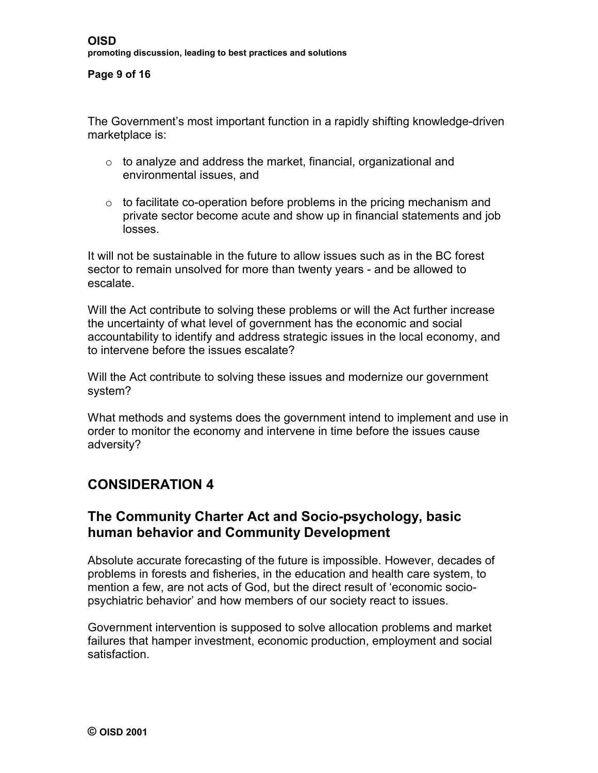#### **Page 9 of 16**

The Government's most important function in a rapidly shifting knowledge-driven marketplace is:

- o to analyze and address the market, financial, organizational and environmental issues, and
- $\circ$  to facilitate co-operation before problems in the pricing mechanism and private sector become acute and show up in financial statements and job losses.

It will not be sustainable in the future to allow issues such as in the BC forest sector to remain unsolved for more than twenty years - and be allowed to escalate.

Will the Act contribute to solving these problems or will the Act further increase the uncertainty of what level of government has the economic and social accountability to identify and address strategic issues in the local economy, and to intervene before the issues escalate?

Will the Act contribute to solving these issues and modernize our government system?

What methods and systems does the government intend to implement and use in order to monitor the economy and intervene in time before the issues cause adversity?

# **CONSIDERATION 4**

## **The Community Charter Act and Socio-psychology, basic human behavior and Community Development**

Absolute accurate forecasting of the future is impossible. However, decades of problems in forests and fisheries, in the education and health care system, to mention a few, are not acts of God, but the direct result of 'economic sociopsychiatric behavior' and how members of our society react to issues.

Government intervention is supposed to solve allocation problems and market failures that hamper investment, economic production, employment and social satisfaction.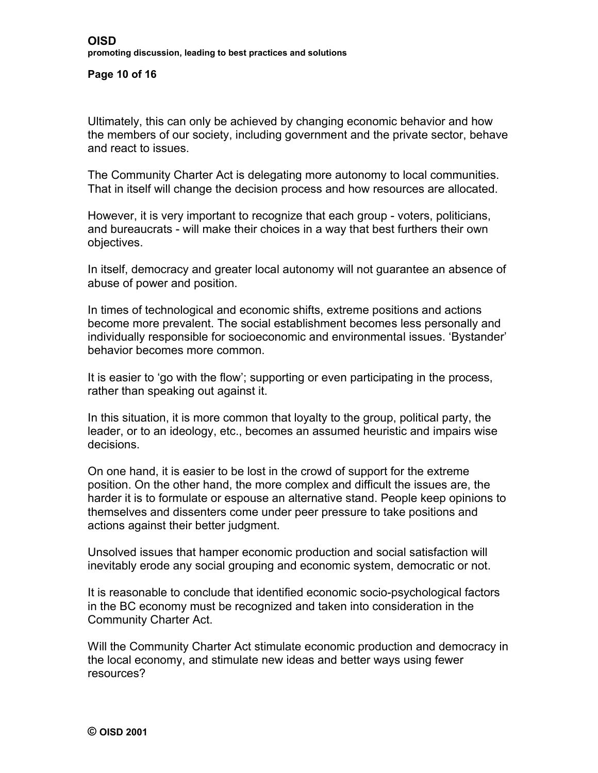**Page 10 of 16**

Ultimately, this can only be achieved by changing economic behavior and how the members of our society, including government and the private sector, behave and react to issues.

The Community Charter Act is delegating more autonomy to local communities. That in itself will change the decision process and how resources are allocated.

However, it is very important to recognize that each group - voters, politicians, and bureaucrats - will make their choices in a way that best furthers their own objectives.

In itself, democracy and greater local autonomy will not guarantee an absence of abuse of power and position.

In times of technological and economic shifts, extreme positions and actions become more prevalent. The social establishment becomes less personally and individually responsible for socioeconomic and environmental issues. 'Bystander' behavior becomes more common.

It is easier to 'go with the flow'; supporting or even participating in the process, rather than speaking out against it.

In this situation, it is more common that loyalty to the group, political party, the leader, or to an ideology, etc., becomes an assumed heuristic and impairs wise decisions.

On one hand, it is easier to be lost in the crowd of support for the extreme position. On the other hand, the more complex and difficult the issues are, the harder it is to formulate or espouse an alternative stand. People keep opinions to themselves and dissenters come under peer pressure to take positions and actions against their better judgment.

Unsolved issues that hamper economic production and social satisfaction will inevitably erode any social grouping and economic system, democratic or not.

It is reasonable to conclude that identified economic socio-psychological factors in the BC economy must be recognized and taken into consideration in the Community Charter Act.

Will the Community Charter Act stimulate economic production and democracy in the local economy, and stimulate new ideas and better ways using fewer resources?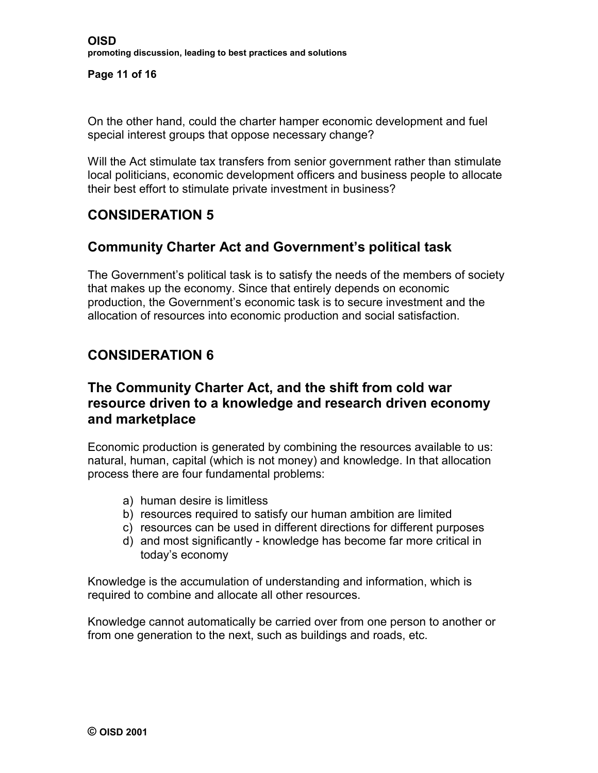**Page 11 of 16**

On the other hand, could the charter hamper economic development and fuel special interest groups that oppose necessary change?

Will the Act stimulate tax transfers from senior government rather than stimulate local politicians, economic development officers and business people to allocate their best effort to stimulate private investment in business?

# **CONSIDERATION 5**

## **Community Charter Act and Government's political task**

The Government's political task is to satisfy the needs of the members of society that makes up the economy. Since that entirely depends on economic production, the Government's economic task is to secure investment and the allocation of resources into economic production and social satisfaction.

# **CONSIDERATION 6**

## **The Community Charter Act, and the shift from cold war resource driven to a knowledge and research driven economy and marketplace**

Economic production is generated by combining the resources available to us: natural, human, capital (which is not money) and knowledge. In that allocation process there are four fundamental problems:

- a) human desire is limitless
- b) resources required to satisfy our human ambition are limited
- c) resources can be used in different directions for different purposes
- d) and most significantly knowledge has become far more critical in today's economy

Knowledge is the accumulation of understanding and information, which is required to combine and allocate all other resources.

Knowledge cannot automatically be carried over from one person to another or from one generation to the next, such as buildings and roads, etc.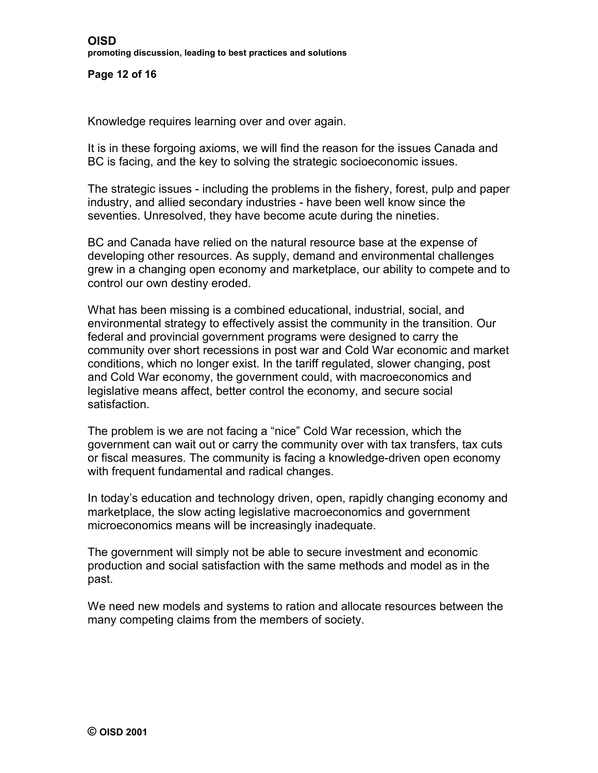**Page 12 of 16**

Knowledge requires learning over and over again.

It is in these forgoing axioms, we will find the reason for the issues Canada and BC is facing, and the key to solving the strategic socioeconomic issues.

The strategic issues - including the problems in the fishery, forest, pulp and paper industry, and allied secondary industries - have been well know since the seventies. Unresolved, they have become acute during the nineties.

BC and Canada have relied on the natural resource base at the expense of developing other resources. As supply, demand and environmental challenges grew in a changing open economy and marketplace, our ability to compete and to control our own destiny eroded.

What has been missing is a combined educational, industrial, social, and environmental strategy to effectively assist the community in the transition. Our federal and provincial government programs were designed to carry the community over short recessions in post war and Cold War economic and market conditions, which no longer exist. In the tariff regulated, slower changing, post and Cold War economy, the government could, with macroeconomics and legislative means affect, better control the economy, and secure social satisfaction.

The problem is we are not facing a "nice" Cold War recession, which the government can wait out or carry the community over with tax transfers, tax cuts or fiscal measures. The community is facing a knowledge-driven open economy with frequent fundamental and radical changes.

In today's education and technology driven, open, rapidly changing economy and marketplace, the slow acting legislative macroeconomics and government microeconomics means will be increasingly inadequate.

The government will simply not be able to secure investment and economic production and social satisfaction with the same methods and model as in the past.

We need new models and systems to ration and allocate resources between the many competing claims from the members of society.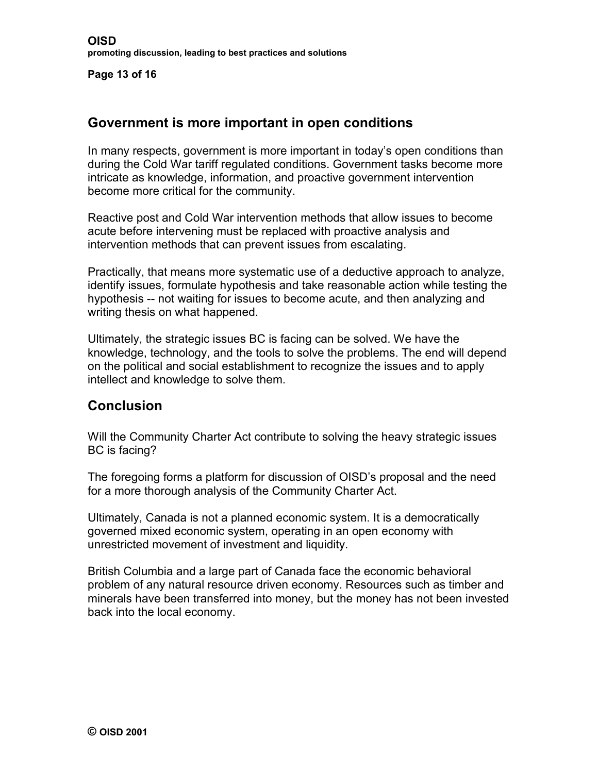**Page 13 of 16**

## **Government is more important in open conditions**

In many respects, government is more important in today's open conditions than during the Cold War tariff regulated conditions. Government tasks become more intricate as knowledge, information, and proactive government intervention become more critical for the community.

Reactive post and Cold War intervention methods that allow issues to become acute before intervening must be replaced with proactive analysis and intervention methods that can prevent issues from escalating.

Practically, that means more systematic use of a deductive approach to analyze, identify issues, formulate hypothesis and take reasonable action while testing the hypothesis -- not waiting for issues to become acute, and then analyzing and writing thesis on what happened.

Ultimately, the strategic issues BC is facing can be solved. We have the knowledge, technology, and the tools to solve the problems. The end will depend on the political and social establishment to recognize the issues and to apply intellect and knowledge to solve them.

## **Conclusion**

Will the Community Charter Act contribute to solving the heavy strategic issues BC is facing?

The foregoing forms a platform for discussion of OISD's proposal and the need for a more thorough analysis of the Community Charter Act.

Ultimately, Canada is not a planned economic system. It is a democratically governed mixed economic system, operating in an open economy with unrestricted movement of investment and liquidity.

British Columbia and a large part of Canada face the economic behavioral problem of any natural resource driven economy. Resources such as timber and minerals have been transferred into money, but the money has not been invested back into the local economy.